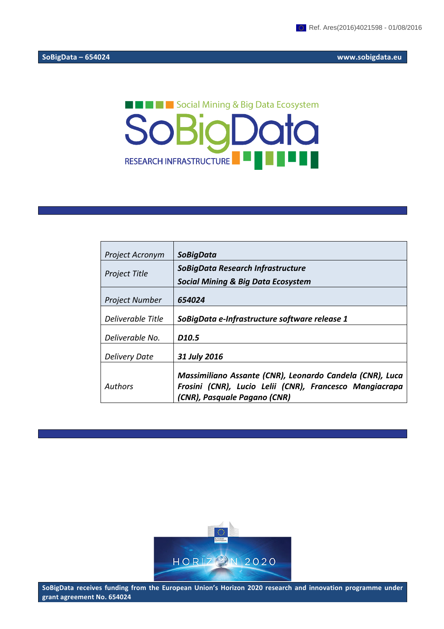### **THE REPU** Social Mining & Big Data Ecosystem **SoBioDat**  $\bigcap$ RESEARCH INFRASTRUCTURE

| Project Acronym       | <b>SoBigData</b>                                                                                                                                    |
|-----------------------|-----------------------------------------------------------------------------------------------------------------------------------------------------|
| <b>Project Title</b>  | SoBigData Research Infrastructure                                                                                                                   |
|                       | <b>Social Mining &amp; Big Data Ecosystem</b>                                                                                                       |
| <b>Project Number</b> | 654024                                                                                                                                              |
| Deliverable Title     | SoBigData e-Infrastructure software release 1                                                                                                       |
| Deliverable No.       | D <sub>10.5</sub>                                                                                                                                   |
| <b>Delivery Date</b>  | 31 July 2016                                                                                                                                        |
| Authors               | Massimiliano Assante (CNR), Leonardo Candela (CNR), Luca<br>Frosini (CNR), Lucio Lelii (CNR), Francesco Mangiacrapa<br>(CNR), Pasquale Pagano (CNR) |



SoBigData receives funding from the European Union's Horizon 2020 research and innovation programme under **grant agreement No. 654024**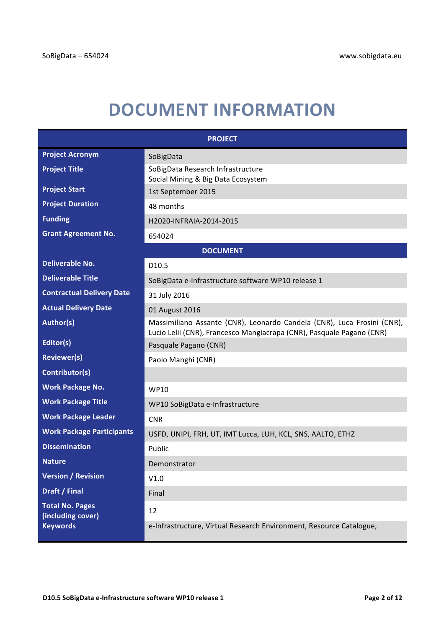## **DOCUMENT INFORMATION**

| <b>PROJECT</b>                              |                                                                                                                                                  |  |  |  |
|---------------------------------------------|--------------------------------------------------------------------------------------------------------------------------------------------------|--|--|--|
| <b>Project Acronym</b>                      | SoBigData                                                                                                                                        |  |  |  |
| <b>Project Title</b>                        | SoBigData Research Infrastructure<br>Social Mining & Big Data Ecosystem                                                                          |  |  |  |
| <b>Project Start</b>                        | 1st September 2015                                                                                                                               |  |  |  |
| <b>Project Duration</b>                     | 48 months                                                                                                                                        |  |  |  |
| <b>Funding</b>                              | H2020-INFRAIA-2014-2015                                                                                                                          |  |  |  |
| <b>Grant Agreement No.</b>                  | 654024                                                                                                                                           |  |  |  |
| <b>DOCUMENT</b>                             |                                                                                                                                                  |  |  |  |
| <b>Deliverable No.</b>                      | D10.5                                                                                                                                            |  |  |  |
| <b>Deliverable Title</b>                    | SoBigData e-Infrastructure software WP10 release 1                                                                                               |  |  |  |
| <b>Contractual Delivery Date</b>            | 31 July 2016                                                                                                                                     |  |  |  |
| <b>Actual Delivery Date</b>                 | 01 August 2016                                                                                                                                   |  |  |  |
| Author(s)                                   | Massimiliano Assante (CNR), Leonardo Candela (CNR), Luca Frosini (CNR),<br>Lucio Lelii (CNR), Francesco Mangiacrapa (CNR), Pasquale Pagano (CNR) |  |  |  |
| Editor(s)                                   | Pasquale Pagano (CNR)                                                                                                                            |  |  |  |
| <b>Reviewer(s)</b>                          | Paolo Manghi (CNR)                                                                                                                               |  |  |  |
| Contributor(s)                              |                                                                                                                                                  |  |  |  |
| <b>Work Package No.</b>                     | <b>WP10</b>                                                                                                                                      |  |  |  |
| <b>Work Package Title</b>                   | WP10 SoBigData e-Infrastructure                                                                                                                  |  |  |  |
| <b>Work Package Leader</b>                  | <b>CNR</b>                                                                                                                                       |  |  |  |
| <b>Work Package Participants</b>            | USFD, UNIPI, FRH, UT, IMT Lucca, LUH, KCL, SNS, AALTO, ETHZ                                                                                      |  |  |  |
| <b>Dissemination</b>                        | Public                                                                                                                                           |  |  |  |
| <b>Nature</b>                               | Demonstrator                                                                                                                                     |  |  |  |
| <b>Version / Revision</b>                   | V1.0                                                                                                                                             |  |  |  |
| Draft / Final                               | Final                                                                                                                                            |  |  |  |
| <b>Total No. Pages</b><br>(including cover) | 12                                                                                                                                               |  |  |  |
| <b>Keywords</b>                             | e-Infrastructure, Virtual Research Environment, Resource Catalogue,                                                                              |  |  |  |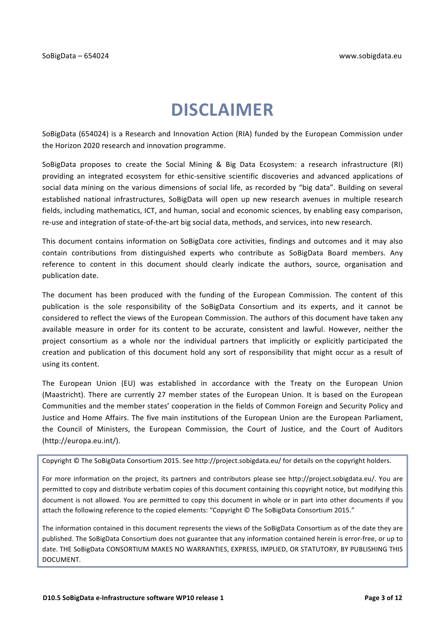## **DISCLAIMER**

SoBigData (654024) is a Research and Innovation Action (RIA) funded by the European Commission under the Horizon 2020 research and innovation programme.

SoBigData proposes to create the Social Mining & Big Data Ecosystem: a research infrastructure (RI) providing an integrated ecosystem for ethic-sensitive scientific discoveries and advanced applications of social data mining on the various dimensions of social life, as recorded by "big data". Building on several established national infrastructures, SoBigData will open up new research avenues in multiple research fields, including mathematics, ICT, and human, social and economic sciences, by enabling easy comparison, re-use and integration of state-of-the-art big social data, methods, and services, into new research.

This document contains information on SoBigData core activities, findings and outcomes and it may also contain contributions from distinguished experts who contribute as SoBigData Board members. Any reference to content in this document should clearly indicate the authors, source, organisation and publication date.

The document has been produced with the funding of the European Commission. The content of this publication is the sole responsibility of the SoBigData Consortium and its experts, and it cannot be considered to reflect the views of the European Commission. The authors of this document have taken any available measure in order for its content to be accurate, consistent and lawful. However, neither the project consortium as a whole nor the individual partners that implicitly or explicitly participated the creation and publication of this document hold any sort of responsibility that might occur as a result of using its content.

The European Union (EU) was established in accordance with the Treaty on the European Union (Maastricht). There are currently 27 member states of the European Union. It is based on the European Communities and the member states' cooperation in the fields of Common Foreign and Security Policy and Justice and Home Affairs. The five main institutions of the European Union are the European Parliament, the Council of Ministers, the European Commission, the Court of Justice, and the Court of Auditors (http://europa.eu.int/).

Copyright © The SoBigData Consortium 2015. See http://project.sobigdata.eu/ for details on the copyright holders.

For more information on the project, its partners and contributors please see http://project.sobigdata.eu/. You are permitted to copy and distribute verbatim copies of this document containing this copyright notice, but modifying this document is not allowed. You are permitted to copy this document in whole or in part into other documents if you attach the following reference to the copied elements: "Copyright © The SoBigData Consortium 2015."

The information contained in this document represents the views of the SoBigData Consortium as of the date they are published. The SoBigData Consortium does not guarantee that any information contained herein is error-free, or up to date. THE SoBigData CONSORTIUM MAKES NO WARRANTIES, EXPRESS, IMPLIED, OR STATUTORY, BY PUBLISHING THIS DOCUMENT.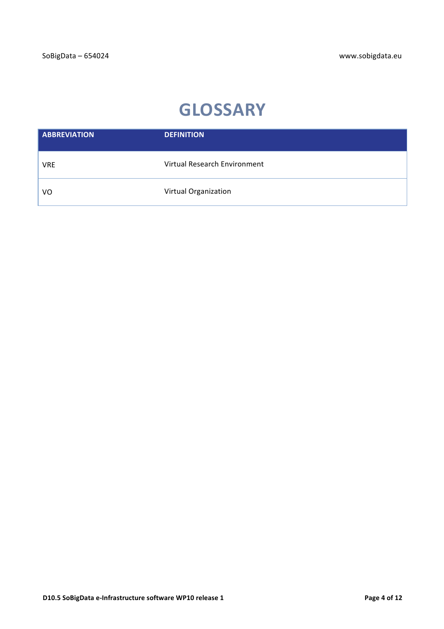## **GLOSSARY**

| ABBREVIATION | <b>DEFINITION</b>            |
|--------------|------------------------------|
| <b>VRE</b>   | Virtual Research Environment |
| VO           | Virtual Organization         |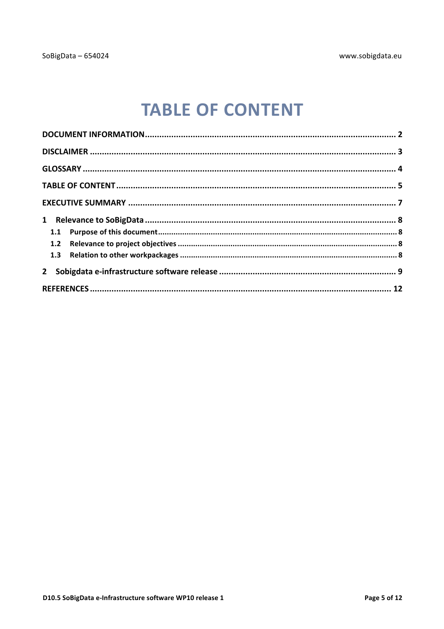# **TABLE OF CONTENT**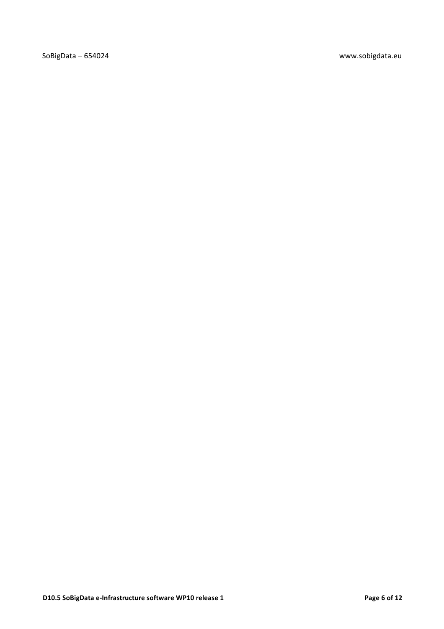SoBigData – 654024 www.sobigdata.eu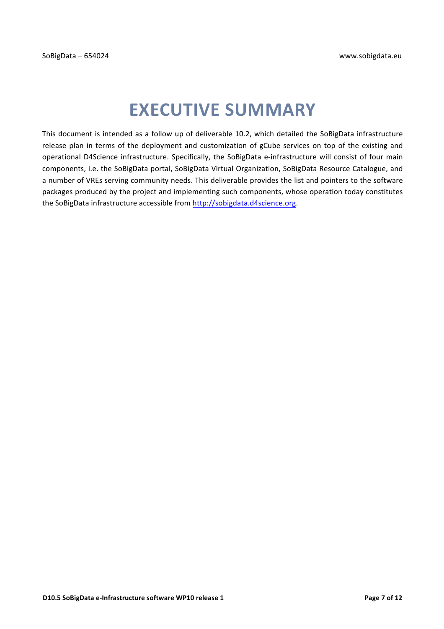# **EXECUTIVE SUMMARY**

This document is intended as a follow up of deliverable 10.2, which detailed the SoBigData infrastructure release plan in terms of the deployment and customization of gCube services on top of the existing and operational D4Science infrastructure. Specifically, the SoBigData e-infrastructure will consist of four main components, i.e. the SoBigData portal, SoBigData Virtual Organization, SoBigData Resource Catalogue, and a number of VREs serving community needs. This deliverable provides the list and pointers to the software packages produced by the project and implementing such components, whose operation today constitutes the SoBigData infrastructure accessible from http://sobigdata.d4science.org.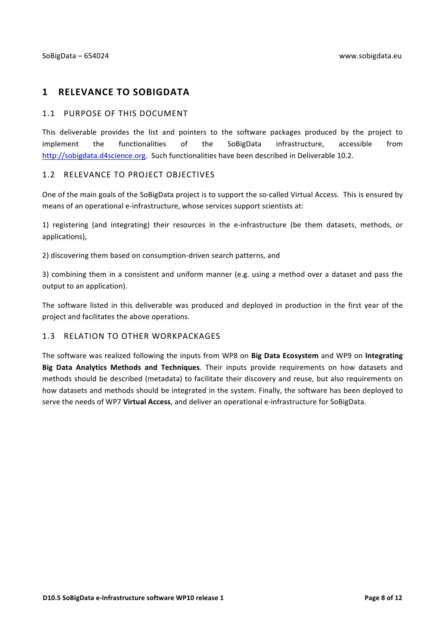### **1 RELEVANCE TO SOBIGDATA**

#### 1.1 PURPOSE OF THIS DOCUMENT

This deliverable provides the list and pointers to the software packages produced by the project to implement the functionalities of the SoBigData infrastructure, accessible from http://sobigdata.d4science.org. Such functionalities have been described in Deliverable 10.2.

#### 1.2 RELEVANCE TO PROJECT OBJECTIVES

One of the main goals of the SoBigData project is to support the so-called Virtual Access. This is ensured by means of an operational e-infrastructure, whose services support scientists at:

1) registering (and integrating) their resources in the e-infrastructure (be them datasets, methods, or applications), 

2) discovering them based on consumption-driven search patterns, and

3) combining them in a consistent and uniform manner (e.g. using a method over a dataset and pass the output to an application).

The software listed in this deliverable was produced and deployed in production in the first year of the project and facilitates the above operations.

#### 1.3 RELATION TO OTHER WORKPACKAGES

The software was realized following the inputs from WP8 on **Big Data Ecosystem** and WP9 on Integrating **Big Data Analytics Methods and Techniques**. Their inputs provide requirements on how datasets and methods should be described (metadata) to facilitate their discovery and reuse, but also requirements on how datasets and methods should be integrated in the system. Finally, the software has been deployed to serve the needs of WP7 Virtual Access, and deliver an operational e-infrastructure for SoBigData.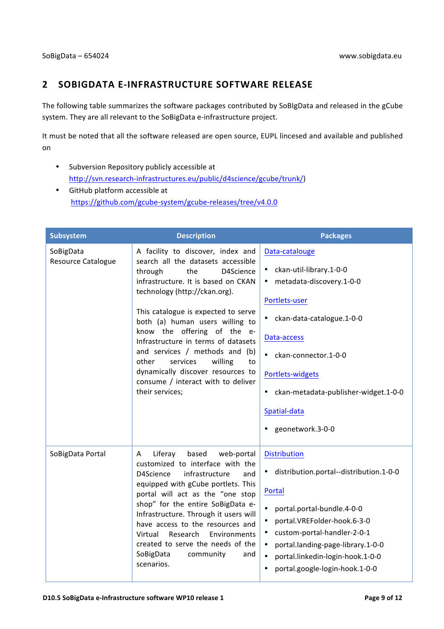### **2 SOBIGDATA E-INFRASTRUCTURE SOFTWARE RELEASE**

The following table summarizes the software packages contributed by SoBIgData and released in the gCube system. They are all relevant to the SoBigData e-infrastructure project.

It must be noted that all the software released are open source, EUPL lincesed and available and published on 

- Subversion Repository publicly accessible at http://svn.research-infrastructures.eu/public/d4science/gcube/trunk/)
- GitHub platform accessible at https://github.com/gcube-system/gcube-releases/tree/v4.0.0

| Subsystem                       | <b>Description</b>                                                                                                                                                                                                                                                                                                                                                                                                                                                                                   | <b>Packages</b>                                                                                                                                                                                                                                                                 |
|---------------------------------|------------------------------------------------------------------------------------------------------------------------------------------------------------------------------------------------------------------------------------------------------------------------------------------------------------------------------------------------------------------------------------------------------------------------------------------------------------------------------------------------------|---------------------------------------------------------------------------------------------------------------------------------------------------------------------------------------------------------------------------------------------------------------------------------|
| SoBigData<br>Resource Catalogue | A facility to discover, index and<br>search all the datasets accessible<br>through<br>the<br>D4Science<br>infrastructure. It is based on CKAN<br>technology (http://ckan.org).<br>This catalogue is expected to serve<br>both (a) human users willing to<br>know the offering of the e-<br>Infrastructure in terms of datasets<br>and services / methods and (b)<br>other<br>services<br>willing<br>to<br>dynamically discover resources to<br>consume / interact with to deliver<br>their services; | Data-catalouge<br>ckan-util-library.1-0-0<br>metadata-discovery.1-0-0<br>Portlets-user<br>ckan-data-catalogue.1-0-0<br>Data-access<br>ckan-connector.1-0-0<br>$\bullet$<br>Portlets-widgets<br>ckan-metadata-publisher-widget.1-0-0<br>Spatial-data<br>geonetwork.3-0-0         |
| SoBigData Portal                | web-portal<br>Liferay<br>based<br>A<br>customized to interface with the<br>D4Science<br>infrastructure<br>and<br>equipped with gCube portlets. This<br>portal will act as the "one stop<br>shop" for the entire SoBigData e-<br>Infrastructure. Through it users will<br>have access to the resources and<br>Research<br>Environments<br>Virtual<br>created to serve the needs of the<br>SoBigData<br>community<br>and<br>scenarios.                                                                 | <b>Distribution</b><br>distribution.portal--distribution.1-0-0<br>Portal<br>portal.portal-bundle.4-0-0<br>portal.VREFolder-hook.6-3-0<br>custom-portal-handler-2-0-1<br>portal.landing-page-library.1-0-0<br>portal.linkedin-login-hook.1-0-0<br>portal.google-login-hook.1-0-0 |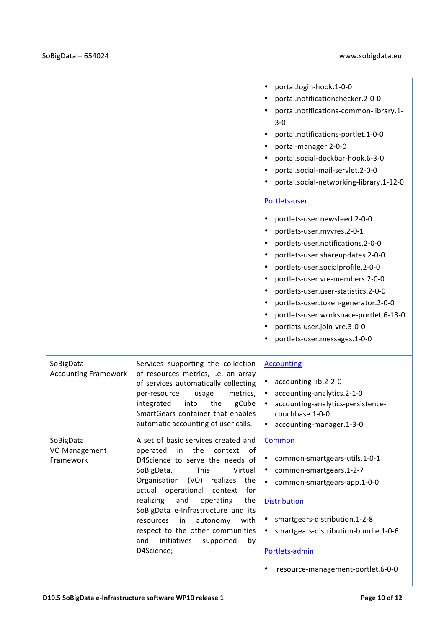### SoBigData – 654024 www.sobigdata.eu

|                                          |                                                                                                                                                                                                                                                                                                                                                                                                                                                   | portal.login-hook.1-0-0<br>portal.notificationchecker.2-0-0<br>portal.notifications-common-library.1-<br>$3 - 0$<br>portal.notifications-portlet.1-0-0<br>portal-manager.2-0-0<br>portal.social-dockbar-hook.6-3-0<br>portal.social-mail-servlet.2-0-0<br>portal.social-networking-library.1-12-0                                                                                                                    |
|------------------------------------------|---------------------------------------------------------------------------------------------------------------------------------------------------------------------------------------------------------------------------------------------------------------------------------------------------------------------------------------------------------------------------------------------------------------------------------------------------|----------------------------------------------------------------------------------------------------------------------------------------------------------------------------------------------------------------------------------------------------------------------------------------------------------------------------------------------------------------------------------------------------------------------|
|                                          |                                                                                                                                                                                                                                                                                                                                                                                                                                                   | Portlets-user<br>portlets-user.newsfeed.2-0-0<br>portlets-user.myvres.2-0-1<br>portlets-user.notifications.2-0-0<br>portlets-user.shareupdates.2-0-0<br>portlets-user.socialprofile.2-0-0<br>portlets-user.vre-members.2-0-0<br>portlets-user.user-statistics.2-0-0<br>portlets-user.token-generator.2-0-0<br>portlets-user.workspace-portlet.6-13-0<br>portlets-user.join-vre.3-0-0<br>portlets-user.messages.1-0-0 |
| SoBigData<br><b>Accounting Framework</b> | Services supporting the collection<br>of resources metrics, i.e. an array<br>of services automatically collecting<br>metrics,<br>per-resource<br>usage<br>the<br>gCube<br>integrated<br>into<br>SmartGears container that enables<br>automatic accounting of user calls.                                                                                                                                                                          | <b>Accounting</b><br>accounting-lib.2-2-0<br>accounting-analytics.2-1-0<br>accounting-analytics-persistence-<br>couchbase.1-0-0<br>accounting-manager.1-3-0<br>$\bullet$                                                                                                                                                                                                                                             |
| SoBigData<br>VO Management<br>Framework  | A set of basic services created and<br>the<br>of<br>operated<br>in<br>context<br>D4Science to serve the needs of<br>This<br>SoBigData.<br>Virtual<br>Organisation (VO)<br>realizes<br>the<br>actual operational<br>for<br>context<br>realizing<br>and<br>operating<br>the<br>SoBigData e-Infrastructure and its<br>in<br>resources<br>autonomy<br>with<br>respect to the other communities<br>initiatives<br>supported<br>and<br>by<br>D4Science; | Common<br>common-smartgears-utils.1-0-1<br>common-smartgears.1-2-7<br>٠<br>common-smartgears-app.1-0-0<br>٠<br><b>Distribution</b><br>smartgears-distribution.1-2-8<br>٠<br>smartgears-distribution-bundle.1-0-6<br>Portlets-admin<br>resource-management-portlet.6-0-0                                                                                                                                              |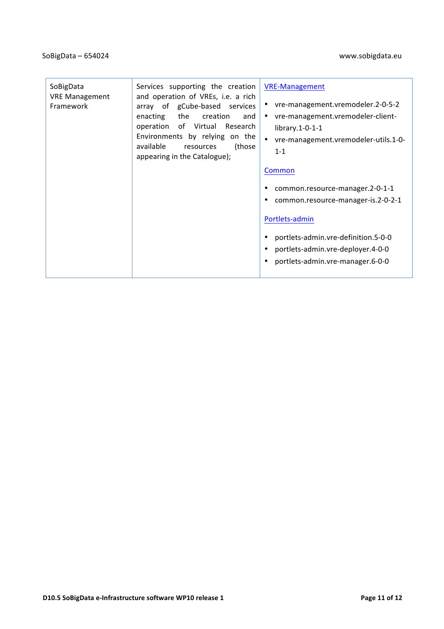| SoBigData<br><b>VRE Management</b><br>Framework | Services supporting the creation<br>and operation of VREs, i.e. a rich<br>array of gCube-based services<br>enacting<br>the<br>creation<br>and<br>operation<br>of Virtual Research<br>Environments by relying on the<br>available<br>(those)<br>resources<br>appearing in the Catalogue); | <b>VRE-Management</b><br>vre-management.vremodeler.2-0-5-2<br>vre-management.vremodeler-client-<br>library. $1-0-1-1$<br>vre-management.vremodeler-utils.1-0-<br>$1 - 1$<br>Common<br>common.resource-manager.2-0-1-1<br>common.resource-manager-is.2-0-2-1<br>Portlets-admin<br>portlets-admin.vre-definition.5-0-0<br>portlets-admin.vre-deployer.4-0-0<br>portlets-admin.vre-manager.6-0-0 |
|-------------------------------------------------|------------------------------------------------------------------------------------------------------------------------------------------------------------------------------------------------------------------------------------------------------------------------------------------|-----------------------------------------------------------------------------------------------------------------------------------------------------------------------------------------------------------------------------------------------------------------------------------------------------------------------------------------------------------------------------------------------|
|-------------------------------------------------|------------------------------------------------------------------------------------------------------------------------------------------------------------------------------------------------------------------------------------------------------------------------------------------|-----------------------------------------------------------------------------------------------------------------------------------------------------------------------------------------------------------------------------------------------------------------------------------------------------------------------------------------------------------------------------------------------|